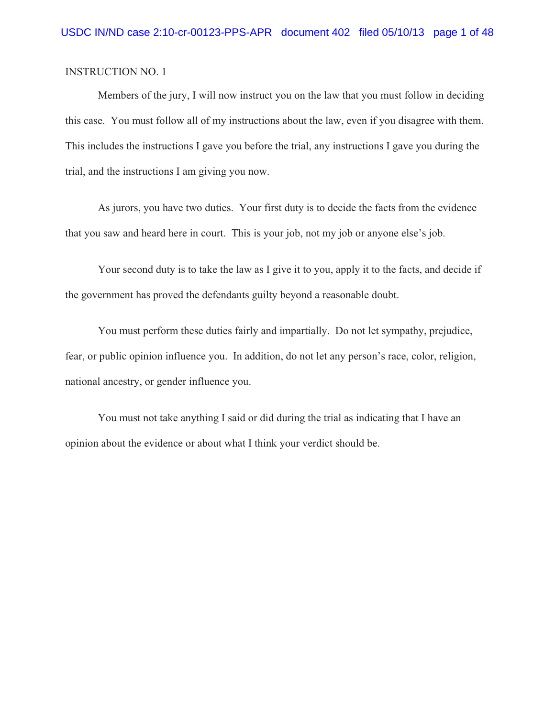Members of the jury, I will now instruct you on the law that you must follow in deciding this case. You must follow all of my instructions about the law, even if you disagree with them. This includes the instructions I gave you before the trial, any instructions I gave you during the trial, and the instructions I am giving you now.

As jurors, you have two duties. Your first duty is to decide the facts from the evidence that you saw and heard here in court. This is your job, not my job or anyone else's job.

Your second duty is to take the law as I give it to you, apply it to the facts, and decide if the government has proved the defendants guilty beyond a reasonable doubt.

You must perform these duties fairly and impartially. Do not let sympathy, prejudice, fear, or public opinion influence you. In addition, do not let any person's race, color, religion, national ancestry, or gender influence you.

You must not take anything I said or did during the trial as indicating that I have an opinion about the evidence or about what I think your verdict should be.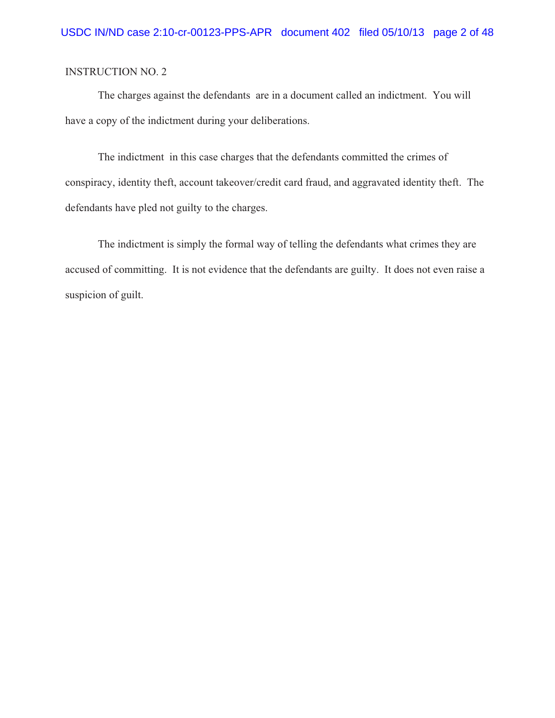The charges against the defendants are in a document called an indictment. You will have a copy of the indictment during your deliberations.

The indictment in this case charges that the defendants committed the crimes of conspiracy, identity theft, account takeover/credit card fraud, and aggravated identity theft. The defendants have pled not guilty to the charges.

The indictment is simply the formal way of telling the defendants what crimes they are accused of committing. It is not evidence that the defendants are guilty. It does not even raise a suspicion of guilt.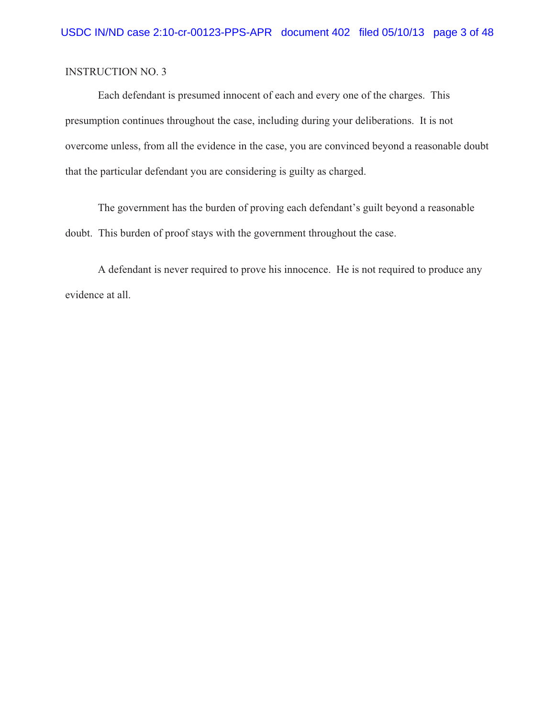Each defendant is presumed innocent of each and every one of the charges. This presumption continues throughout the case, including during your deliberations. It is not overcome unless, from all the evidence in the case, you are convinced beyond a reasonable doubt that the particular defendant you are considering is guilty as charged.

The government has the burden of proving each defendant's guilt beyond a reasonable doubt. This burden of proof stays with the government throughout the case.

A defendant is never required to prove his innocence. He is not required to produce any evidence at all.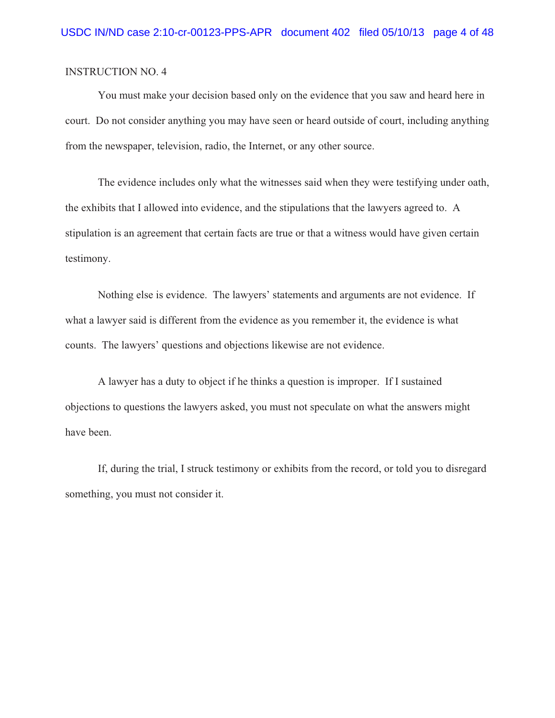You must make your decision based only on the evidence that you saw and heard here in court. Do not consider anything you may have seen or heard outside of court, including anything from the newspaper, television, radio, the Internet, or any other source.

The evidence includes only what the witnesses said when they were testifying under oath, the exhibits that I allowed into evidence, and the stipulations that the lawyers agreed to. A stipulation is an agreement that certain facts are true or that a witness would have given certain testimony.

Nothing else is evidence. The lawyers' statements and arguments are not evidence. If what a lawyer said is different from the evidence as you remember it, the evidence is what counts. The lawyers' questions and objections likewise are not evidence.

A lawyer has a duty to object if he thinks a question is improper. If I sustained objections to questions the lawyers asked, you must not speculate on what the answers might have been.

If, during the trial, I struck testimony or exhibits from the record, or told you to disregard something, you must not consider it.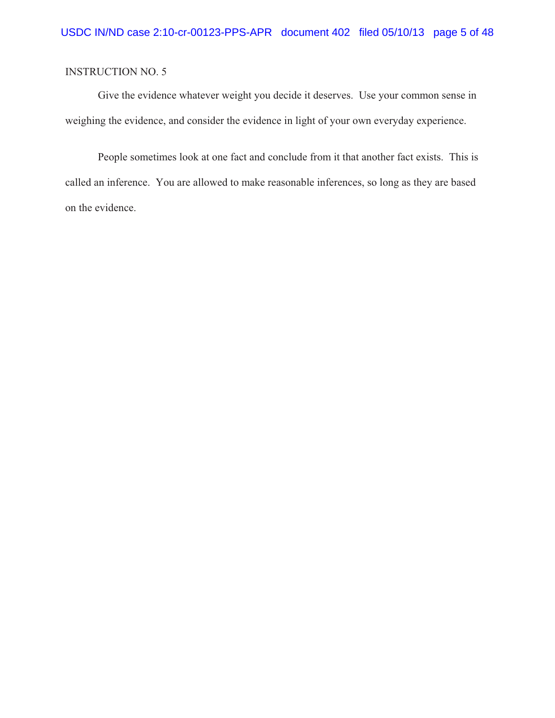Give the evidence whatever weight you decide it deserves. Use your common sense in weighing the evidence, and consider the evidence in light of your own everyday experience.

People sometimes look at one fact and conclude from it that another fact exists. This is called an inference. You are allowed to make reasonable inferences, so long as they are based on the evidence.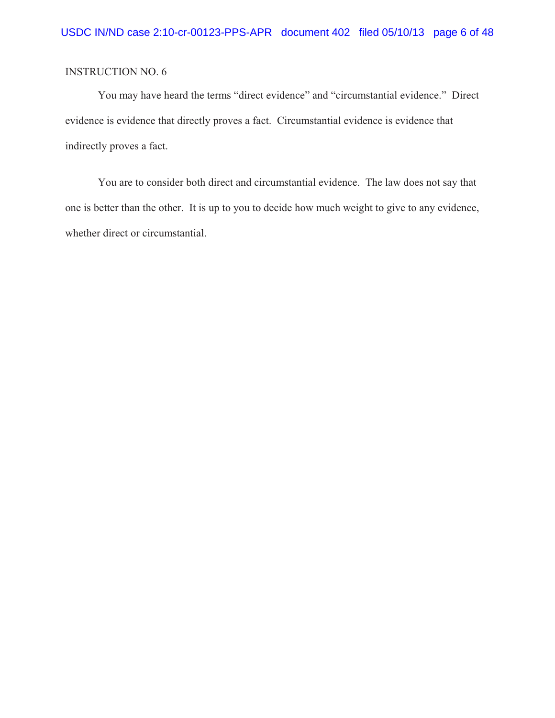You may have heard the terms "direct evidence" and "circumstantial evidence." Direct evidence is evidence that directly proves a fact. Circumstantial evidence is evidence that indirectly proves a fact.

You are to consider both direct and circumstantial evidence. The law does not say that one is better than the other. It is up to you to decide how much weight to give to any evidence, whether direct or circumstantial.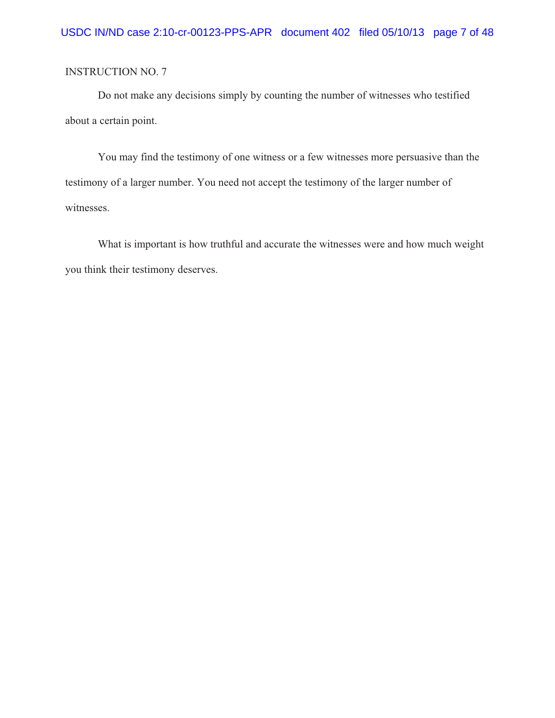Do not make any decisions simply by counting the number of witnesses who testified about a certain point.

You may find the testimony of one witness or a few witnesses more persuasive than the testimony of a larger number. You need not accept the testimony of the larger number of witnesses.

What is important is how truthful and accurate the witnesses were and how much weight you think their testimony deserves.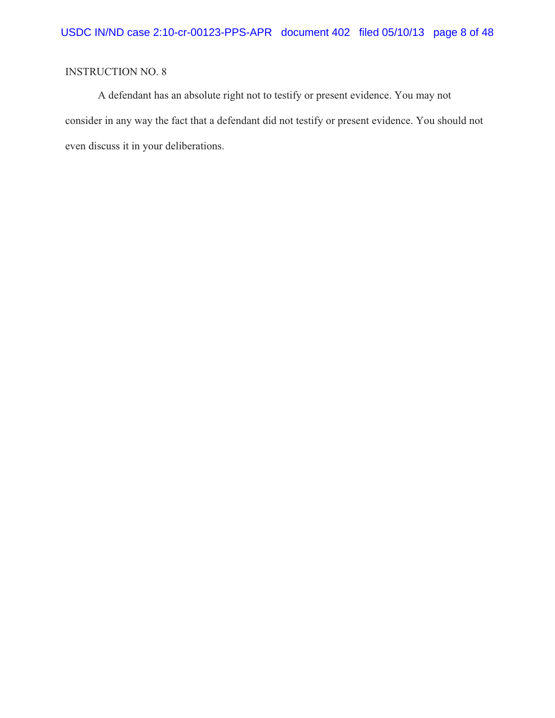A defendant has an absolute right not to testify or present evidence. You may not consider in any way the fact that a defendant did not testify or present evidence. You should not even discuss it in your deliberations.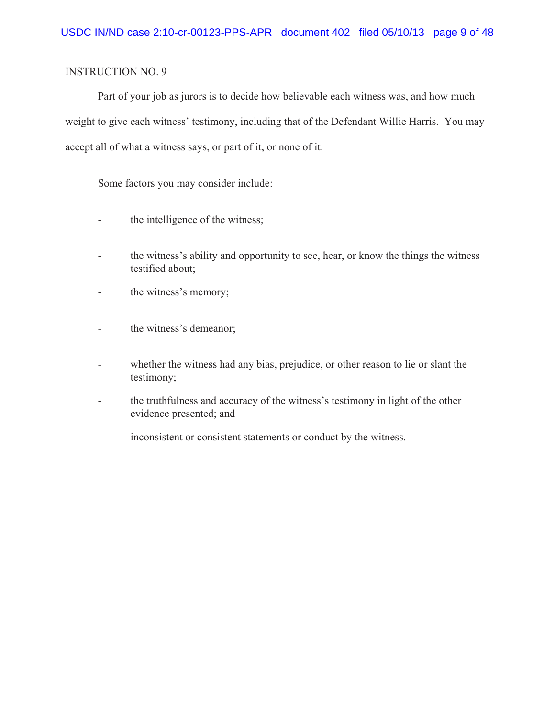Part of your job as jurors is to decide how believable each witness was, and how much weight to give each witness' testimony, including that of the Defendant Willie Harris. You may accept all of what a witness says, or part of it, or none of it.

Some factors you may consider include:

- the intelligence of the witness;
- the witness's ability and opportunity to see, hear, or know the things the witness testified about;
- the witness's memory;
- the witness's demeanor;
- whether the witness had any bias, prejudice, or other reason to lie or slant the testimony;
- the truthfulness and accuracy of the witness's testimony in light of the other evidence presented; and
- inconsistent or consistent statements or conduct by the witness.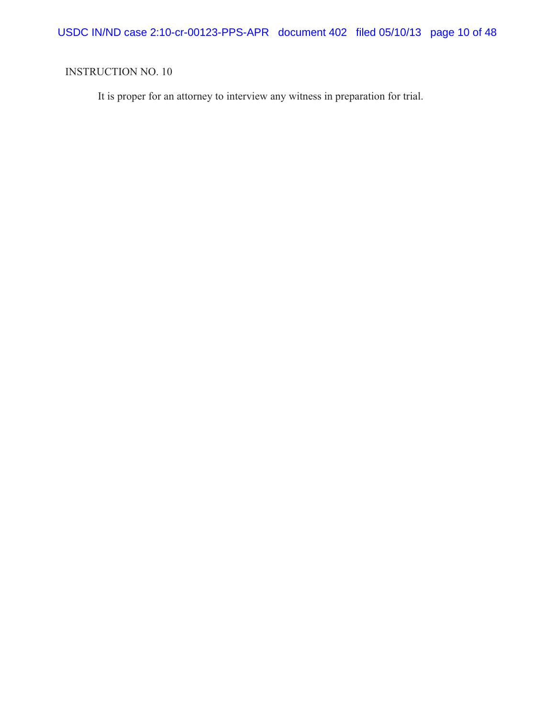USDC IN/ND case 2:10-cr-00123-PPS-APR document 402 filed 05/10/13 page 10 of 48

# INSTRUCTION NO. 10

It is proper for an attorney to interview any witness in preparation for trial.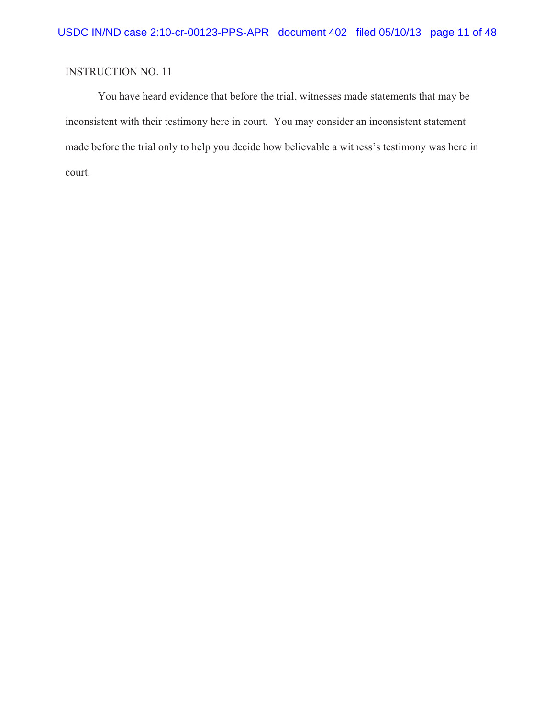You have heard evidence that before the trial, witnesses made statements that may be inconsistent with their testimony here in court. You may consider an inconsistent statement made before the trial only to help you decide how believable a witness's testimony was here in court.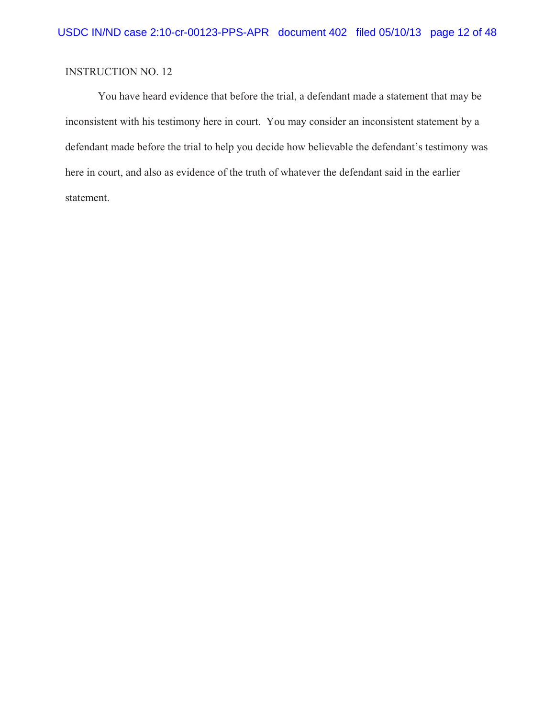You have heard evidence that before the trial, a defendant made a statement that may be inconsistent with his testimony here in court. You may consider an inconsistent statement by a defendant made before the trial to help you decide how believable the defendant's testimony was here in court, and also as evidence of the truth of whatever the defendant said in the earlier statement.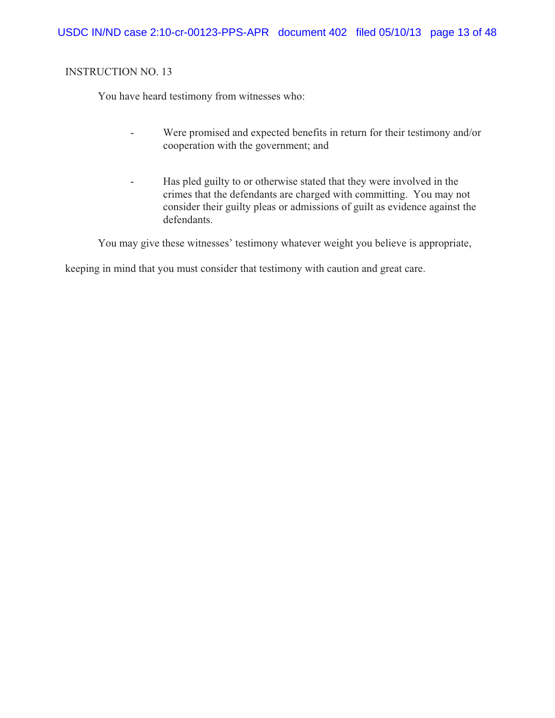You have heard testimony from witnesses who:

- Were promised and expected benefits in return for their testimony and/or cooperation with the government; and
- Has pled guilty to or otherwise stated that they were involved in the crimes that the defendants are charged with committing. You may not consider their guilty pleas or admissions of guilt as evidence against the defendants.

You may give these witnesses' testimony whatever weight you believe is appropriate,

keeping in mind that you must consider that testimony with caution and great care.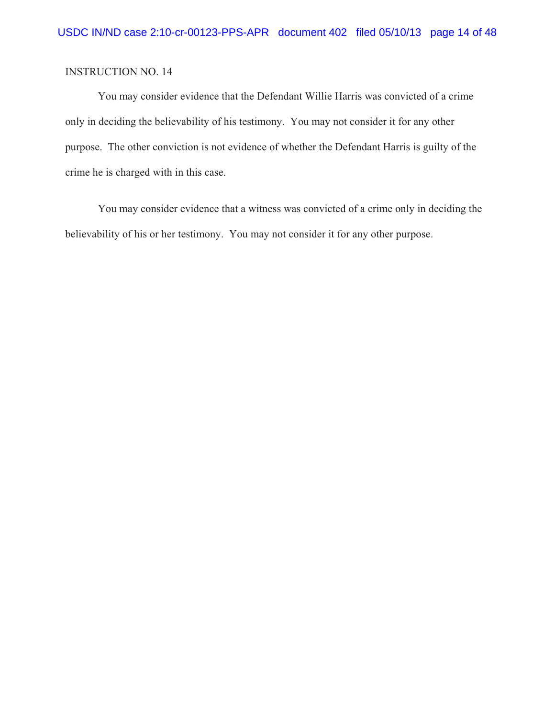You may consider evidence that the Defendant Willie Harris was convicted of a crime only in deciding the believability of his testimony. You may not consider it for any other purpose. The other conviction is not evidence of whether the Defendant Harris is guilty of the crime he is charged with in this case.

You may consider evidence that a witness was convicted of a crime only in deciding the believability of his or her testimony. You may not consider it for any other purpose.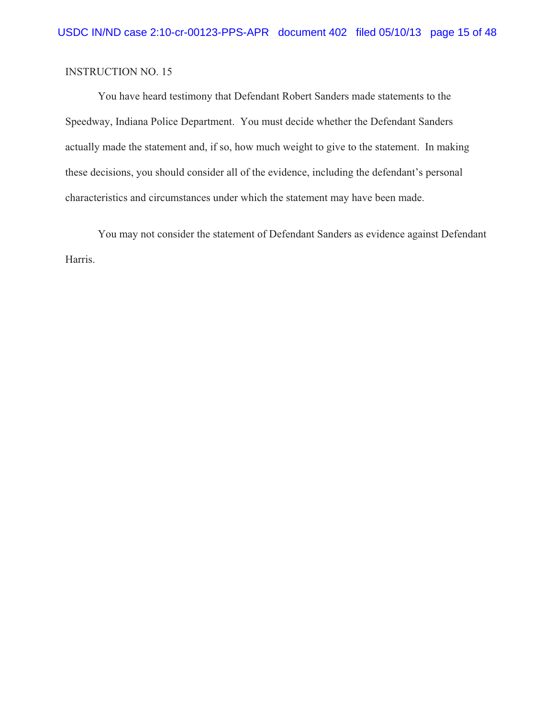You have heard testimony that Defendant Robert Sanders made statements to the Speedway, Indiana Police Department. You must decide whether the Defendant Sanders actually made the statement and, if so, how much weight to give to the statement. In making these decisions, you should consider all of the evidence, including the defendant's personal characteristics and circumstances under which the statement may have been made.

You may not consider the statement of Defendant Sanders as evidence against Defendant Harris.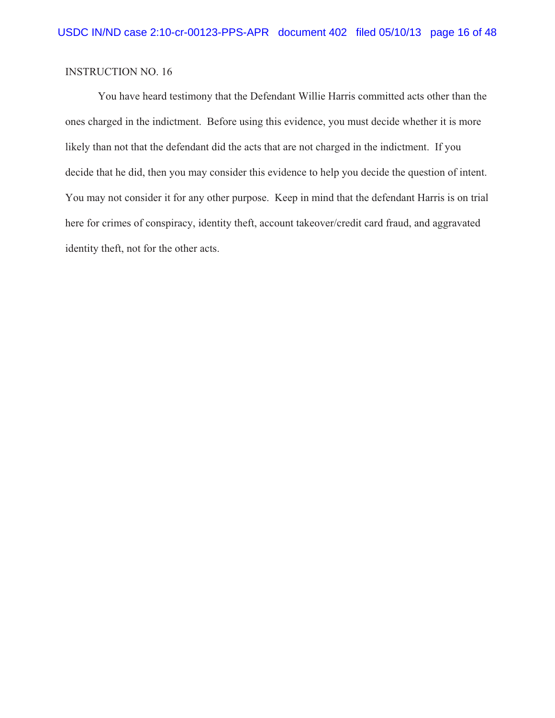You have heard testimony that the Defendant Willie Harris committed acts other than the ones charged in the indictment. Before using this evidence, you must decide whether it is more likely than not that the defendant did the acts that are not charged in the indictment. If you decide that he did, then you may consider this evidence to help you decide the question of intent. You may not consider it for any other purpose. Keep in mind that the defendant Harris is on trial here for crimes of conspiracy, identity theft, account takeover/credit card fraud, and aggravated identity theft, not for the other acts.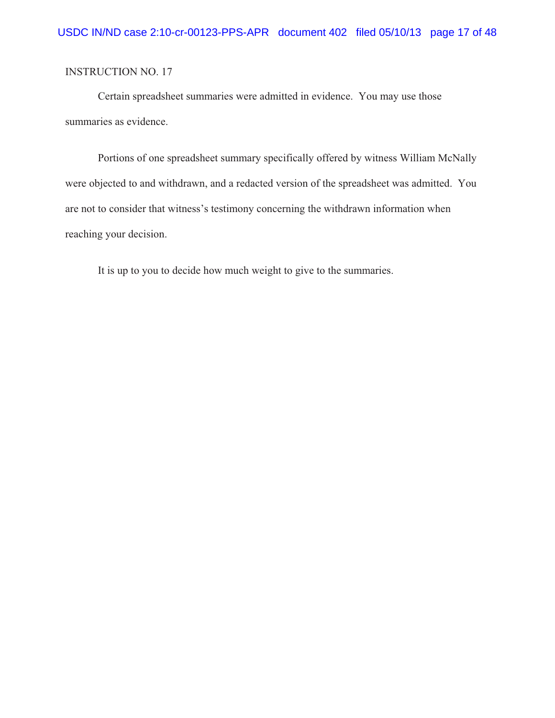Certain spreadsheet summaries were admitted in evidence. You may use those summaries as evidence.

Portions of one spreadsheet summary specifically offered by witness William McNally were objected to and withdrawn, and a redacted version of the spreadsheet was admitted. You are not to consider that witness's testimony concerning the withdrawn information when reaching your decision.

It is up to you to decide how much weight to give to the summaries.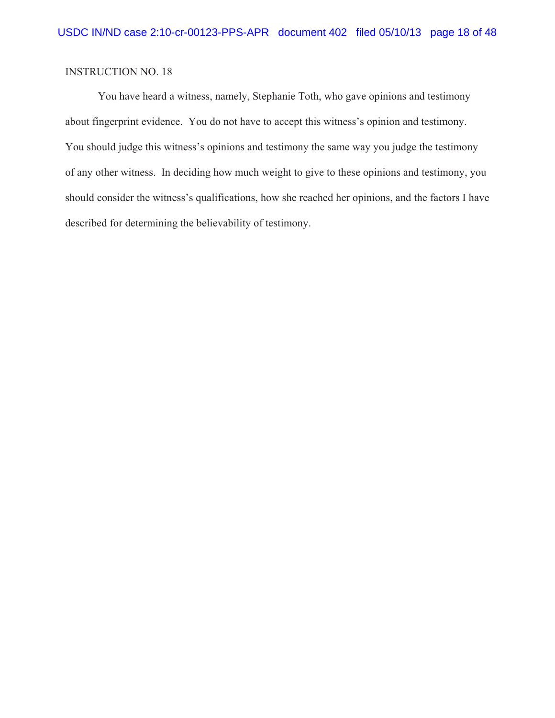You have heard a witness, namely, Stephanie Toth, who gave opinions and testimony about fingerprint evidence. You do not have to accept this witness's opinion and testimony. You should judge this witness's opinions and testimony the same way you judge the testimony of any other witness. In deciding how much weight to give to these opinions and testimony, you should consider the witness's qualifications, how she reached her opinions, and the factors I have described for determining the believability of testimony.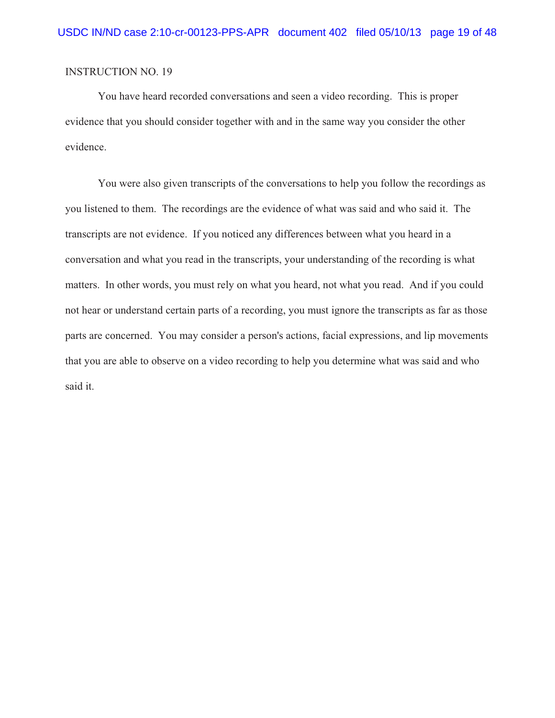You have heard recorded conversations and seen a video recording. This is proper evidence that you should consider together with and in the same way you consider the other evidence.

You were also given transcripts of the conversations to help you follow the recordings as you listened to them. The recordings are the evidence of what was said and who said it. The transcripts are not evidence. If you noticed any differences between what you heard in a conversation and what you read in the transcripts, your understanding of the recording is what matters. In other words, you must rely on what you heard, not what you read. And if you could not hear or understand certain parts of a recording, you must ignore the transcripts as far as those parts are concerned. You may consider a person's actions, facial expressions, and lip movements that you are able to observe on a video recording to help you determine what was said and who said it.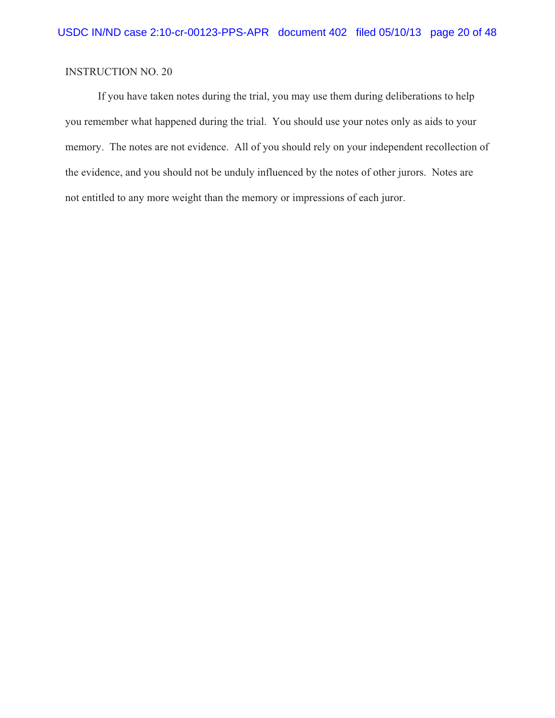If you have taken notes during the trial, you may use them during deliberations to help you remember what happened during the trial. You should use your notes only as aids to your memory. The notes are not evidence. All of you should rely on your independent recollection of the evidence, and you should not be unduly influenced by the notes of other jurors. Notes are not entitled to any more weight than the memory or impressions of each juror.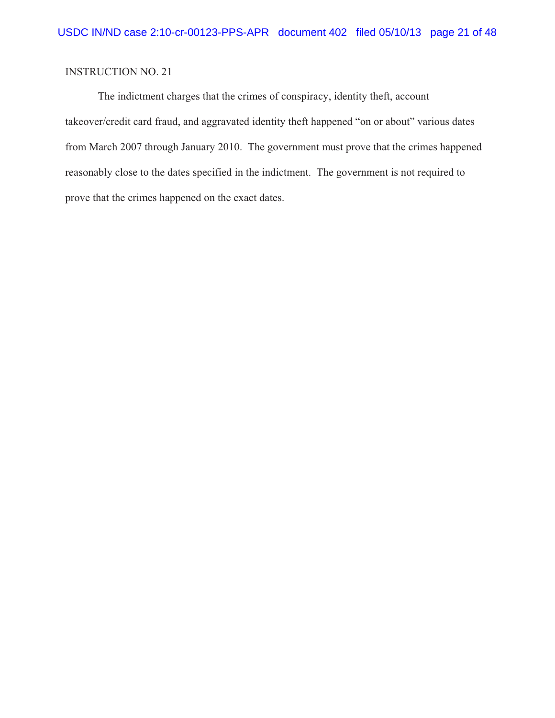The indictment charges that the crimes of conspiracy, identity theft, account takeover/credit card fraud, and aggravated identity theft happened "on or about" various dates from March 2007 through January 2010. The government must prove that the crimes happened reasonably close to the dates specified in the indictment. The government is not required to prove that the crimes happened on the exact dates.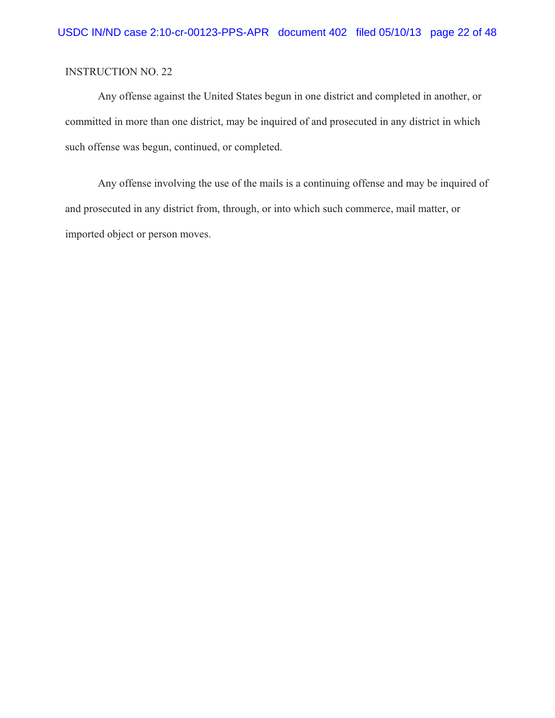Any offense against the United States begun in one district and completed in another, or committed in more than one district, may be inquired of and prosecuted in any district in which such offense was begun, continued, or completed.

Any offense involving the use of the mails is a continuing offense and may be inquired of and prosecuted in any district from, through, or into which such commerce, mail matter, or imported object or person moves.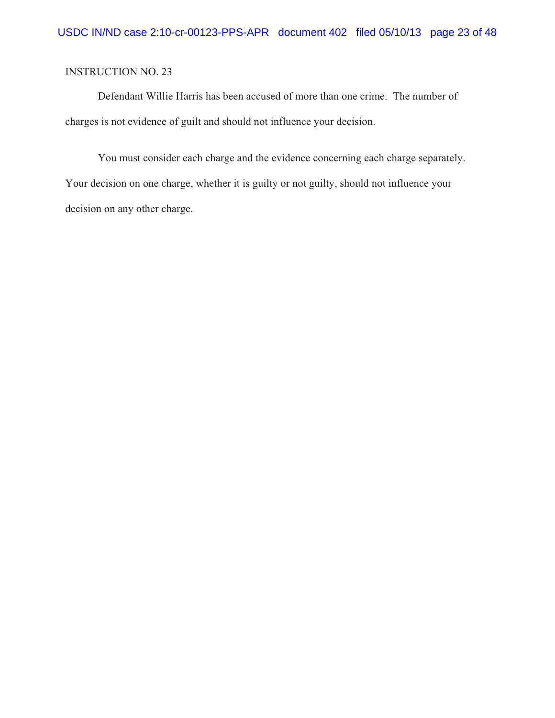Defendant Willie Harris has been accused of more than one crime. The number of charges is not evidence of guilt and should not influence your decision.

You must consider each charge and the evidence concerning each charge separately. Your decision on one charge, whether it is guilty or not guilty, should not influence your decision on any other charge.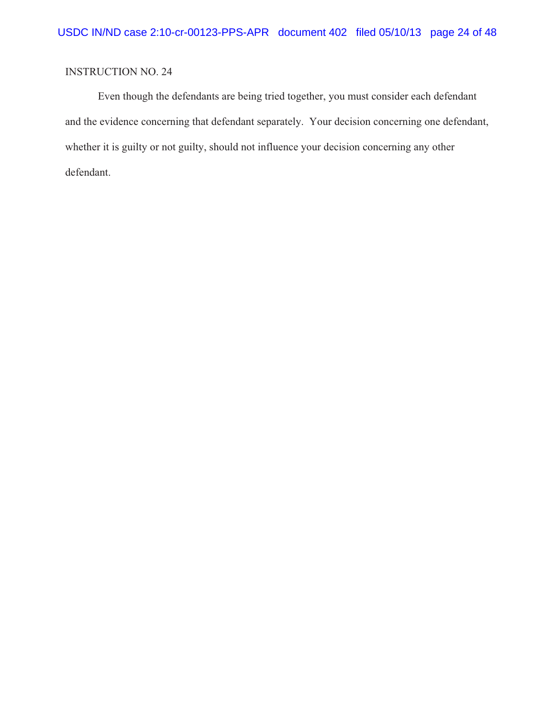Even though the defendants are being tried together, you must consider each defendant and the evidence concerning that defendant separately. Your decision concerning one defendant, whether it is guilty or not guilty, should not influence your decision concerning any other defendant.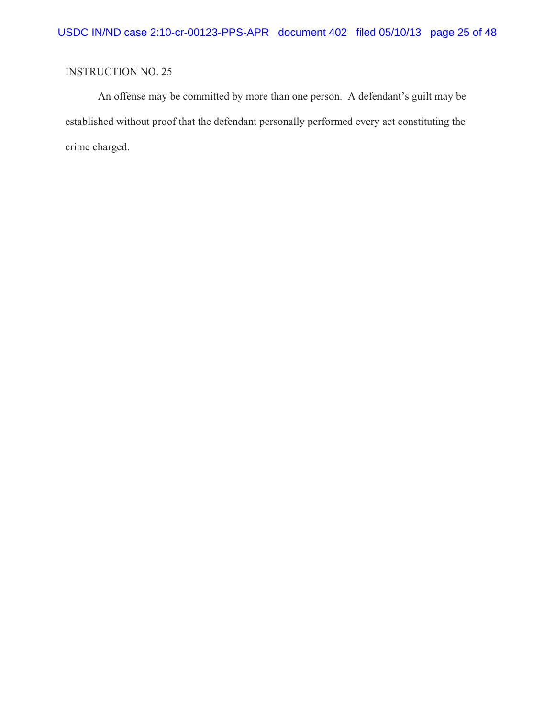An offense may be committed by more than one person. A defendant's guilt may be established without proof that the defendant personally performed every act constituting the crime charged.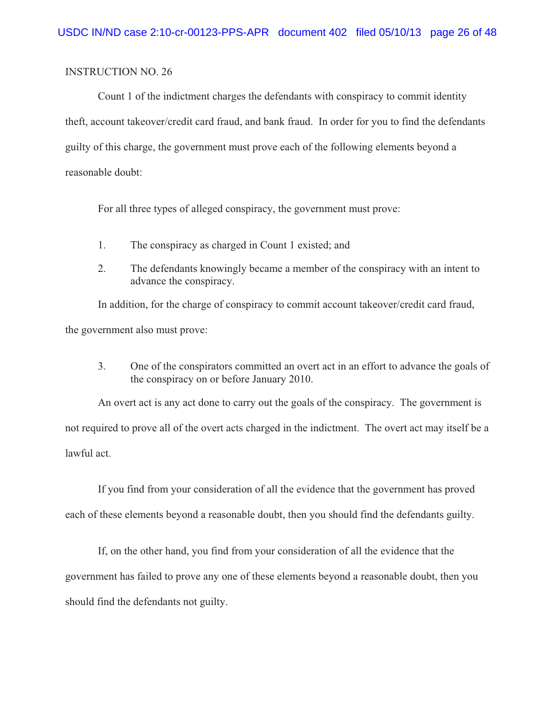Count 1 of the indictment charges the defendants with conspiracy to commit identity theft, account takeover/credit card fraud, and bank fraud. In order for you to find the defendants guilty of this charge, the government must prove each of the following elements beyond a reasonable doubt:

For all three types of alleged conspiracy, the government must prove:

- 1. The conspiracy as charged in Count 1 existed; and
- 2. The defendants knowingly became a member of the conspiracy with an intent to advance the conspiracy.

In addition, for the charge of conspiracy to commit account takeover/credit card fraud, the government also must prove:

3. One of the conspirators committed an overt act in an effort to advance the goals of the conspiracy on or before January 2010.

An overt act is any act done to carry out the goals of the conspiracy. The government is not required to prove all of the overt acts charged in the indictment. The overt act may itself be a lawful act.

If you find from your consideration of all the evidence that the government has proved each of these elements beyond a reasonable doubt, then you should find the defendants guilty.

If, on the other hand, you find from your consideration of all the evidence that the government has failed to prove any one of these elements beyond a reasonable doubt, then you should find the defendants not guilty.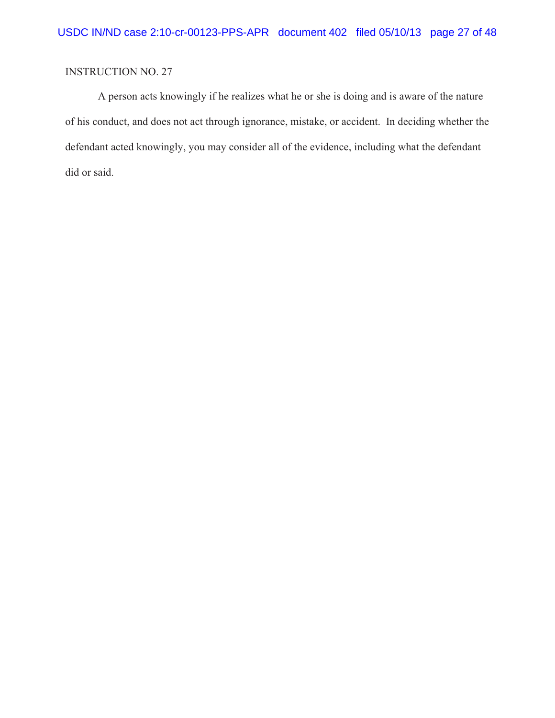A person acts knowingly if he realizes what he or she is doing and is aware of the nature of his conduct, and does not act through ignorance, mistake, or accident. In deciding whether the defendant acted knowingly, you may consider all of the evidence, including what the defendant did or said.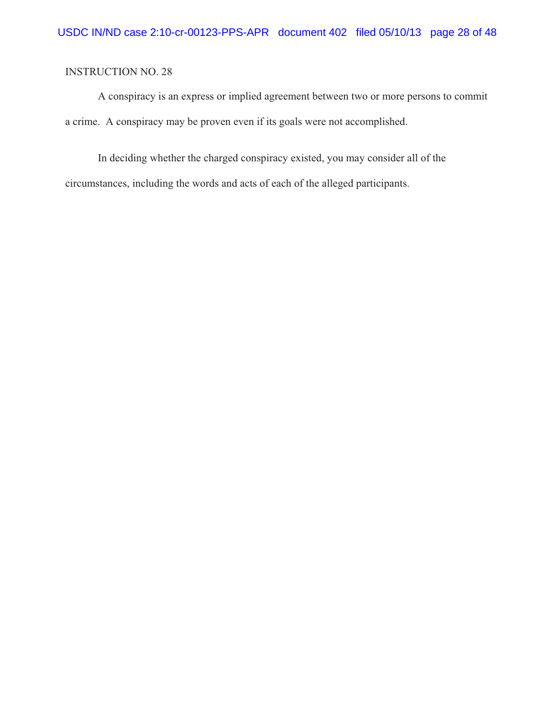A conspiracy is an express or implied agreement between two or more persons to commit a crime. A conspiracy may be proven even if its goals were not accomplished.

In deciding whether the charged conspiracy existed, you may consider all of the circumstances, including the words and acts of each of the alleged participants.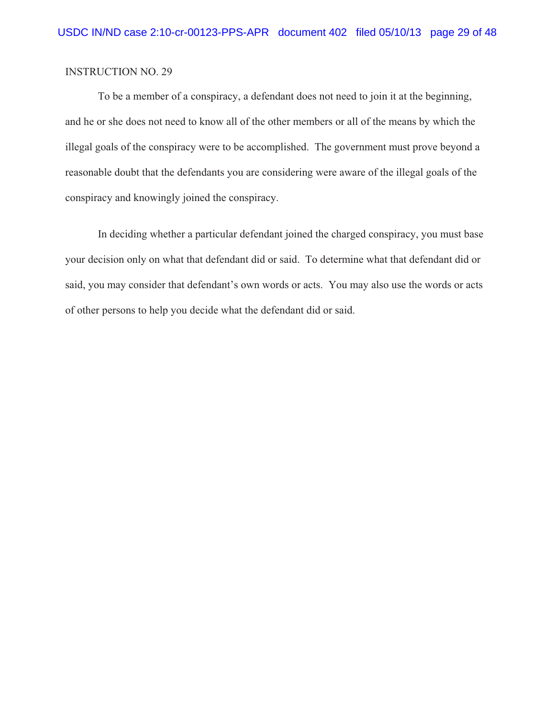To be a member of a conspiracy, a defendant does not need to join it at the beginning, and he or she does not need to know all of the other members or all of the means by which the illegal goals of the conspiracy were to be accomplished. The government must prove beyond a reasonable doubt that the defendants you are considering were aware of the illegal goals of the conspiracy and knowingly joined the conspiracy.

In deciding whether a particular defendant joined the charged conspiracy, you must base your decision only on what that defendant did or said. To determine what that defendant did or said, you may consider that defendant's own words or acts. You may also use the words or acts of other persons to help you decide what the defendant did or said.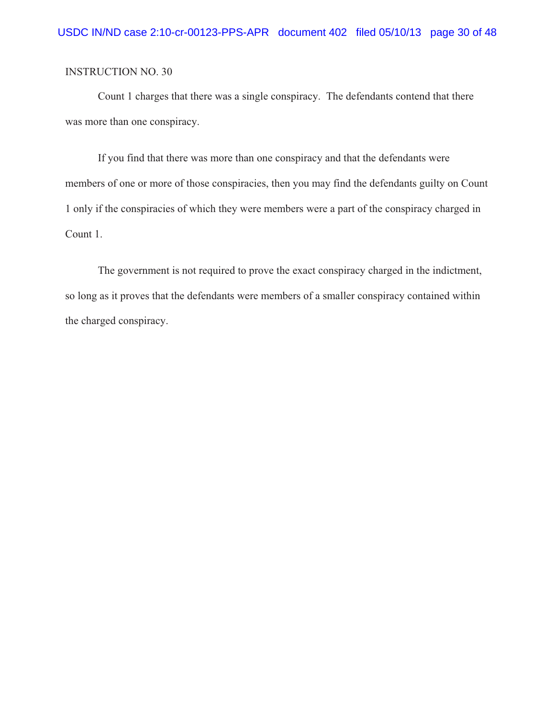Count 1 charges that there was a single conspiracy. The defendants contend that there was more than one conspiracy.

If you find that there was more than one conspiracy and that the defendants were members of one or more of those conspiracies, then you may find the defendants guilty on Count 1 only if the conspiracies of which they were members were a part of the conspiracy charged in Count 1.

The government is not required to prove the exact conspiracy charged in the indictment, so long as it proves that the defendants were members of a smaller conspiracy contained within the charged conspiracy.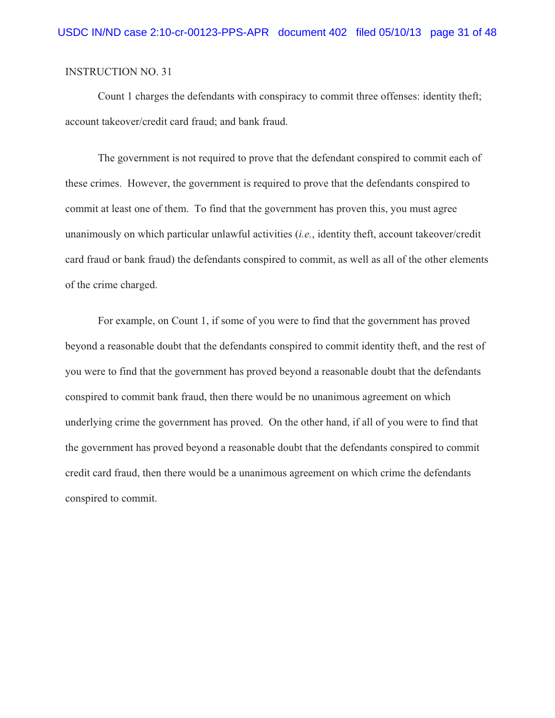Count 1 charges the defendants with conspiracy to commit three offenses: identity theft; account takeover/credit card fraud; and bank fraud.

The government is not required to prove that the defendant conspired to commit each of these crimes. However, the government is required to prove that the defendants conspired to commit at least one of them. To find that the government has proven this, you must agree unanimously on which particular unlawful activities (*i.e.*, identity theft, account takeover/credit card fraud or bank fraud) the defendants conspired to commit, as well as all of the other elements of the crime charged.

For example, on Count 1, if some of you were to find that the government has proved beyond a reasonable doubt that the defendants conspired to commit identity theft, and the rest of you were to find that the government has proved beyond a reasonable doubt that the defendants conspired to commit bank fraud, then there would be no unanimous agreement on which underlying crime the government has proved. On the other hand, if all of you were to find that the government has proved beyond a reasonable doubt that the defendants conspired to commit credit card fraud, then there would be a unanimous agreement on which crime the defendants conspired to commit.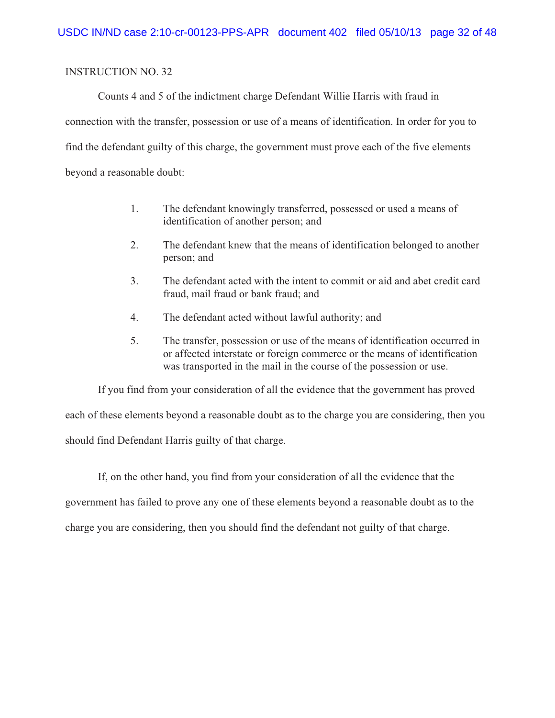Counts 4 and 5 of the indictment charge Defendant Willie Harris with fraud in connection with the transfer, possession or use of a means of identification. In order for you to find the defendant guilty of this charge, the government must prove each of the five elements beyond a reasonable doubt:

- 1. The defendant knowingly transferred, possessed or used a means of identification of another person; and
- 2. The defendant knew that the means of identification belonged to another person; and
- 3. The defendant acted with the intent to commit or aid and abet credit card fraud, mail fraud or bank fraud; and
- 4. The defendant acted without lawful authority; and
- 5. The transfer, possession or use of the means of identification occurred in or affected interstate or foreign commerce or the means of identification was transported in the mail in the course of the possession or use.

If you find from your consideration of all the evidence that the government has proved each of these elements beyond a reasonable doubt as to the charge you are considering, then you should find Defendant Harris guilty of that charge.

If, on the other hand, you find from your consideration of all the evidence that the government has failed to prove any one of these elements beyond a reasonable doubt as to the charge you are considering, then you should find the defendant not guilty of that charge.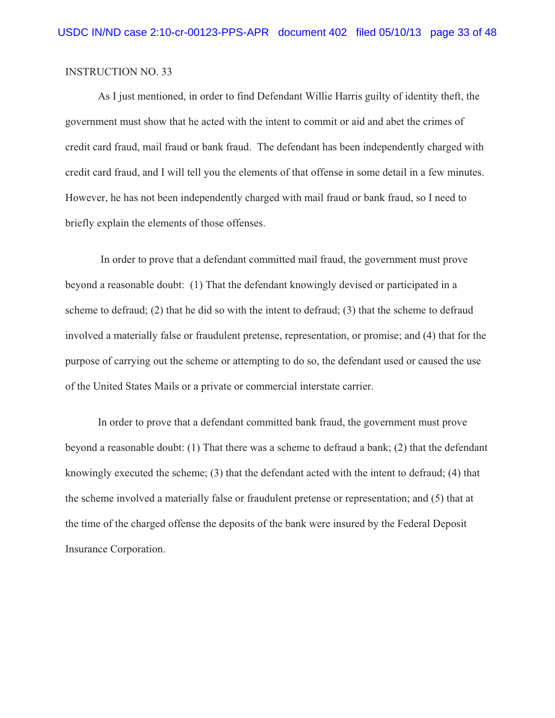As I just mentioned, in order to find Defendant Willie Harris guilty of identity theft, the government must show that he acted with the intent to commit or aid and abet the crimes of credit card fraud, mail fraud or bank fraud. The defendant has been independently charged with credit card fraud, and I will tell you the elements of that offense in some detail in a few minutes. However, he has not been independently charged with mail fraud or bank fraud, so I need to briefly explain the elements of those offenses.

 In order to prove that a defendant committed mail fraud, the government must prove beyond a reasonable doubt: (1) That the defendant knowingly devised or participated in a scheme to defraud; (2) that he did so with the intent to defraud; (3) that the scheme to defraud involved a materially false or fraudulent pretense, representation, or promise; and (4) that for the purpose of carrying out the scheme or attempting to do so, the defendant used or caused the use of the United States Mails or a private or commercial interstate carrier.

In order to prove that a defendant committed bank fraud, the government must prove beyond a reasonable doubt: (1) That there was a scheme to defraud a bank; (2) that the defendant knowingly executed the scheme; (3) that the defendant acted with the intent to defraud; (4) that the scheme involved a materially false or fraudulent pretense or representation; and (5) that at the time of the charged offense the deposits of the bank were insured by the Federal Deposit Insurance Corporation.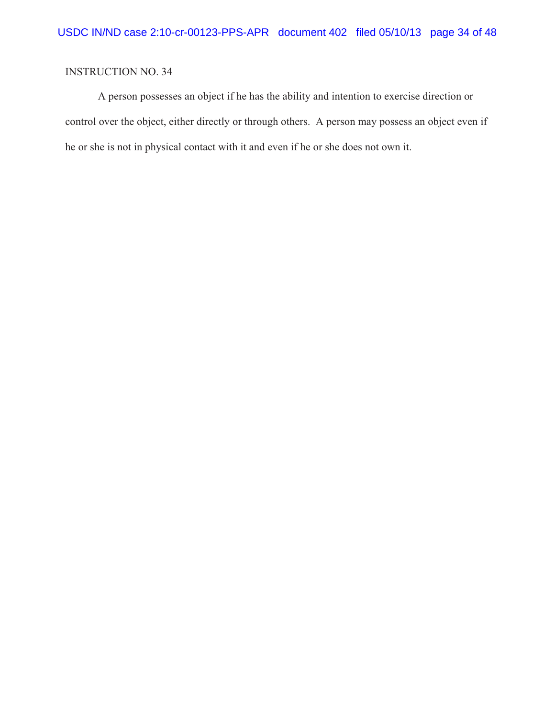A person possesses an object if he has the ability and intention to exercise direction or control over the object, either directly or through others. A person may possess an object even if he or she is not in physical contact with it and even if he or she does not own it.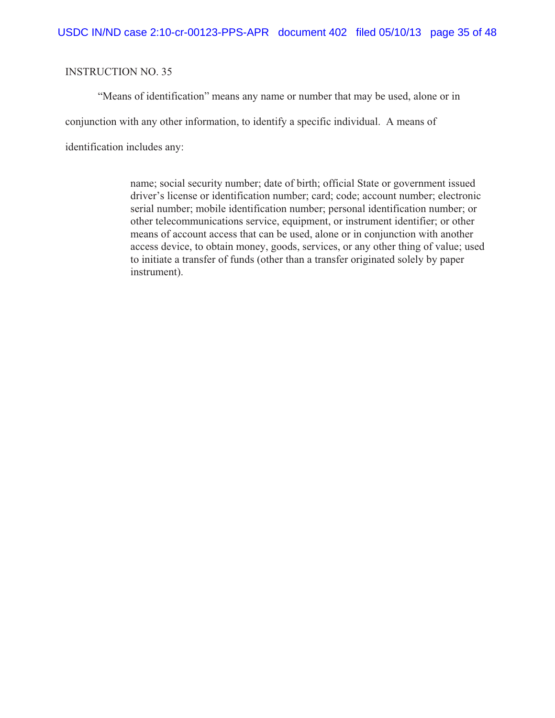"Means of identification" means any name or number that may be used, alone or in conjunction with any other information, to identify a specific individual. A means of identification includes any:

> name; social security number; date of birth; official State or government issued driver's license or identification number; card; code; account number; electronic serial number; mobile identification number; personal identification number; or other telecommunications service, equipment, or instrument identifier; or other means of account access that can be used, alone or in conjunction with another access device, to obtain money, goods, services, or any other thing of value; used to initiate a transfer of funds (other than a transfer originated solely by paper instrument).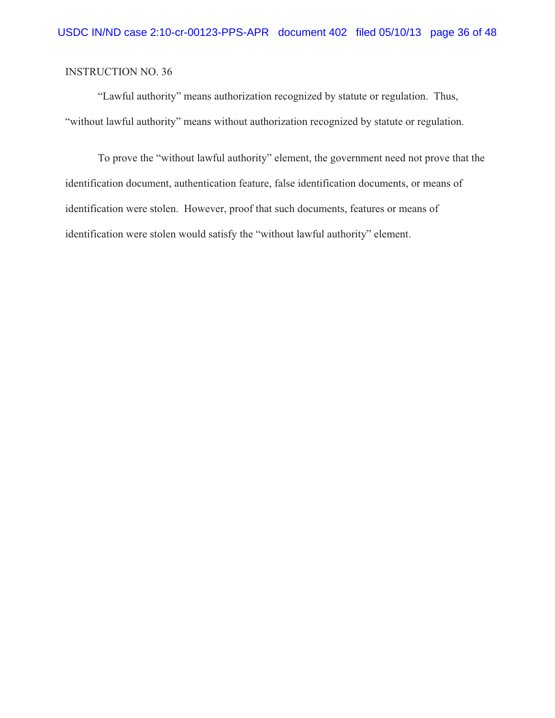"Lawful authority" means authorization recognized by statute or regulation. Thus, "without lawful authority" means without authorization recognized by statute or regulation.

To prove the "without lawful authority" element, the government need not prove that the identification document, authentication feature, false identification documents, or means of identification were stolen. However, proof that such documents, features or means of identification were stolen would satisfy the "without lawful authority" element.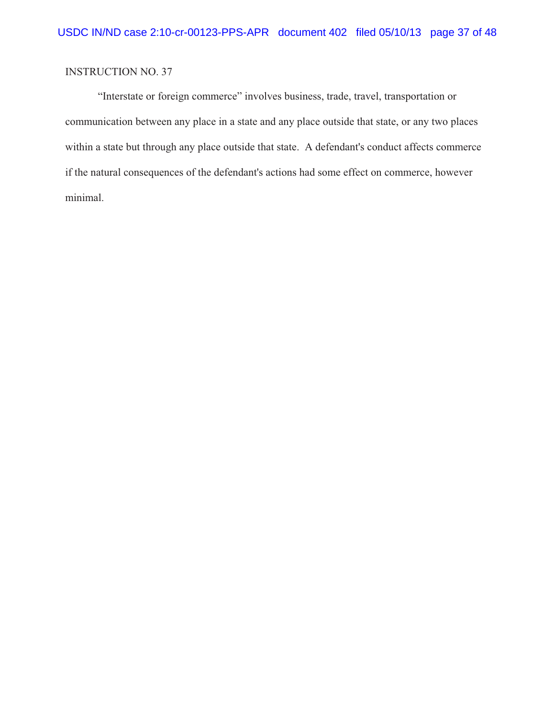"Interstate or foreign commerce" involves business, trade, travel, transportation or communication between any place in a state and any place outside that state, or any two places within a state but through any place outside that state. A defendant's conduct affects commerce if the natural consequences of the defendant's actions had some effect on commerce, however minimal.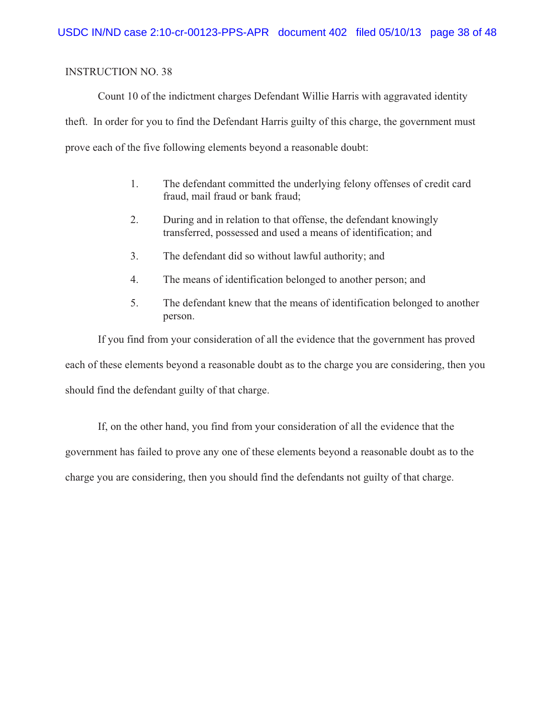Count 10 of the indictment charges Defendant Willie Harris with aggravated identity theft. In order for you to find the Defendant Harris guilty of this charge, the government must prove each of the five following elements beyond a reasonable doubt:

- 1. The defendant committed the underlying felony offenses of credit card fraud, mail fraud or bank fraud;
- 2. During and in relation to that offense, the defendant knowingly transferred, possessed and used a means of identification; and
- 3. The defendant did so without lawful authority; and
- 4. The means of identification belonged to another person; and
- 5. The defendant knew that the means of identification belonged to another person.

If you find from your consideration of all the evidence that the government has proved each of these elements beyond a reasonable doubt as to the charge you are considering, then you should find the defendant guilty of that charge.

If, on the other hand, you find from your consideration of all the evidence that the government has failed to prove any one of these elements beyond a reasonable doubt as to the charge you are considering, then you should find the defendants not guilty of that charge.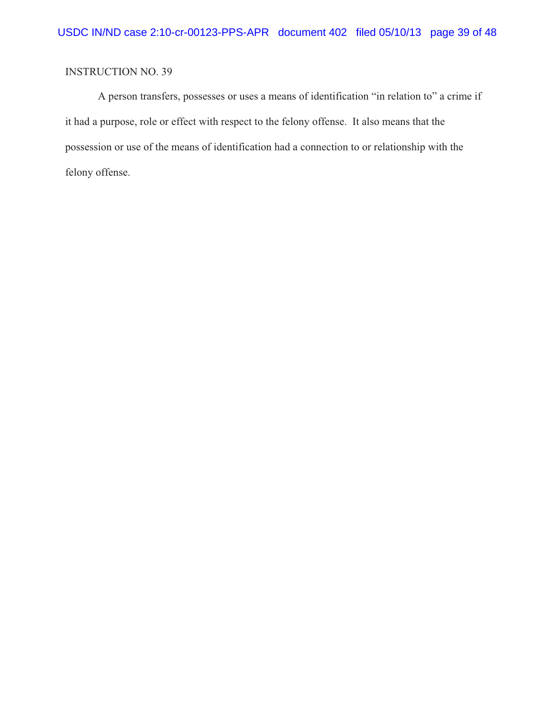A person transfers, possesses or uses a means of identification "in relation to" a crime if it had a purpose, role or effect with respect to the felony offense. It also means that the possession or use of the means of identification had a connection to or relationship with the felony offense.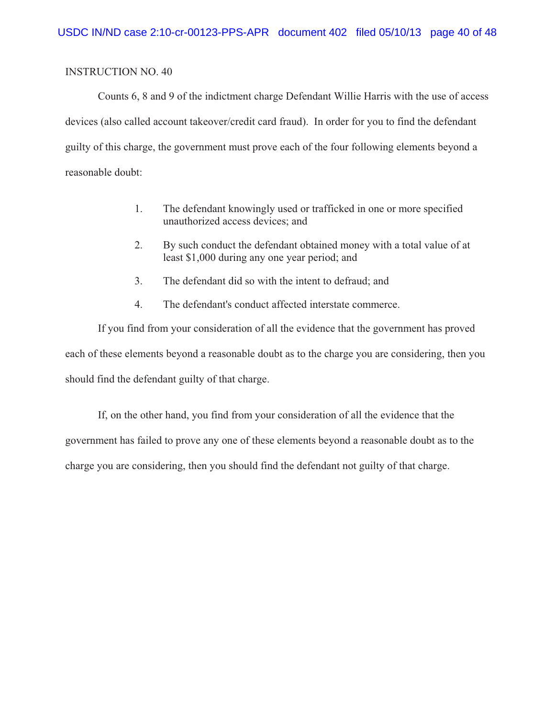Counts 6, 8 and 9 of the indictment charge Defendant Willie Harris with the use of access devices (also called account takeover/credit card fraud). In order for you to find the defendant guilty of this charge, the government must prove each of the four following elements beyond a reasonable doubt:

- 1. The defendant knowingly used or trafficked in one or more specified unauthorized access devices; and
- 2. By such conduct the defendant obtained money with a total value of at least \$1,000 during any one year period; and
- 3. The defendant did so with the intent to defraud; and
- 4. The defendant's conduct affected interstate commerce.

If you find from your consideration of all the evidence that the government has proved each of these elements beyond a reasonable doubt as to the charge you are considering, then you should find the defendant guilty of that charge.

If, on the other hand, you find from your consideration of all the evidence that the government has failed to prove any one of these elements beyond a reasonable doubt as to the charge you are considering, then you should find the defendant not guilty of that charge.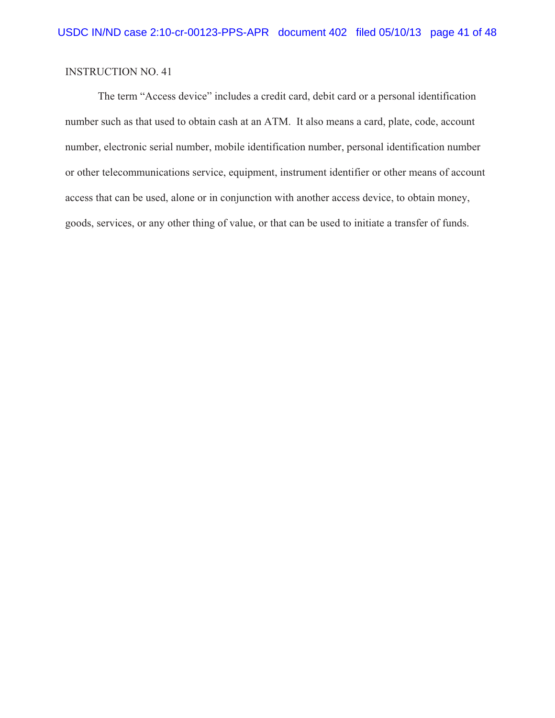The term "Access device" includes a credit card, debit card or a personal identification number such as that used to obtain cash at an ATM. It also means a card, plate, code, account number, electronic serial number, mobile identification number, personal identification number or other telecommunications service, equipment, instrument identifier or other means of account access that can be used, alone or in conjunction with another access device, to obtain money, goods, services, or any other thing of value, or that can be used to initiate a transfer of funds.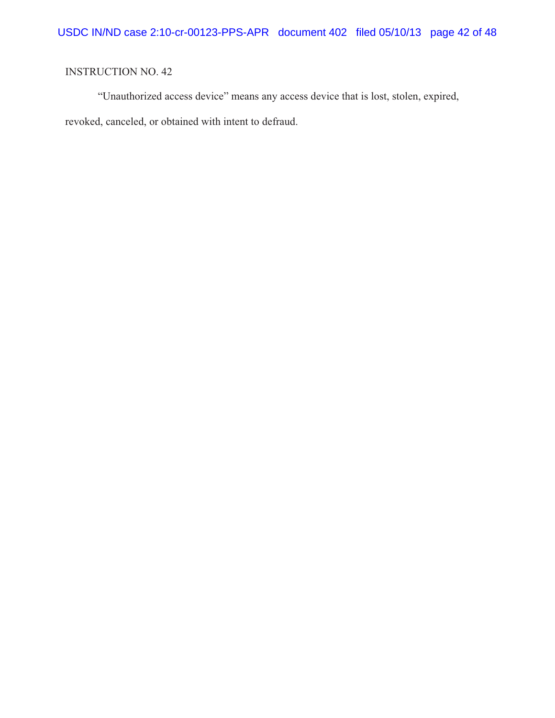"Unauthorized access device" means any access device that is lost, stolen, expired, revoked, canceled, or obtained with intent to defraud.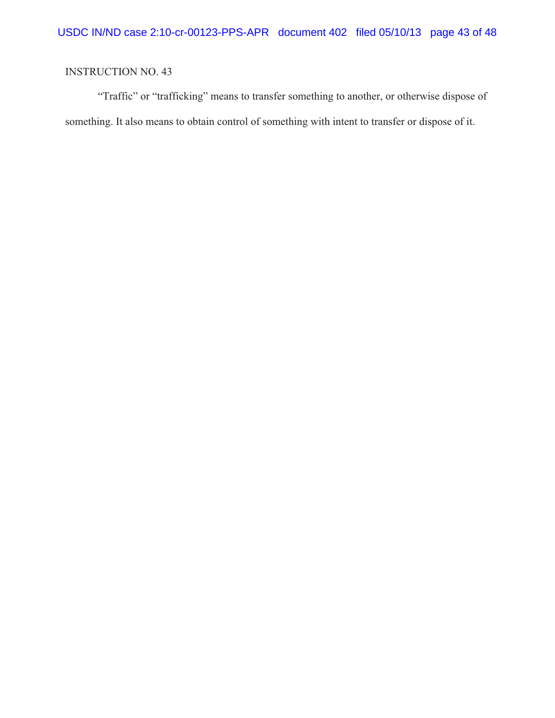"Traffic" or "trafficking" means to transfer something to another, or otherwise dispose of something. It also means to obtain control of something with intent to transfer or dispose of it.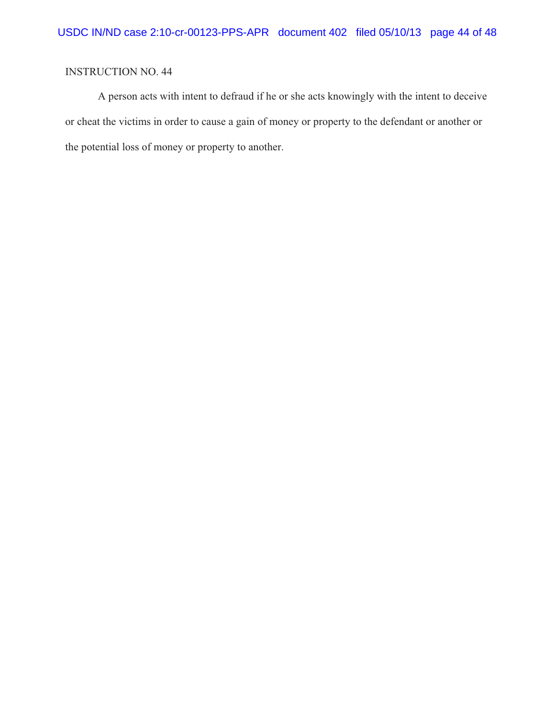A person acts with intent to defraud if he or she acts knowingly with the intent to deceive or cheat the victims in order to cause a gain of money or property to the defendant or another or the potential loss of money or property to another.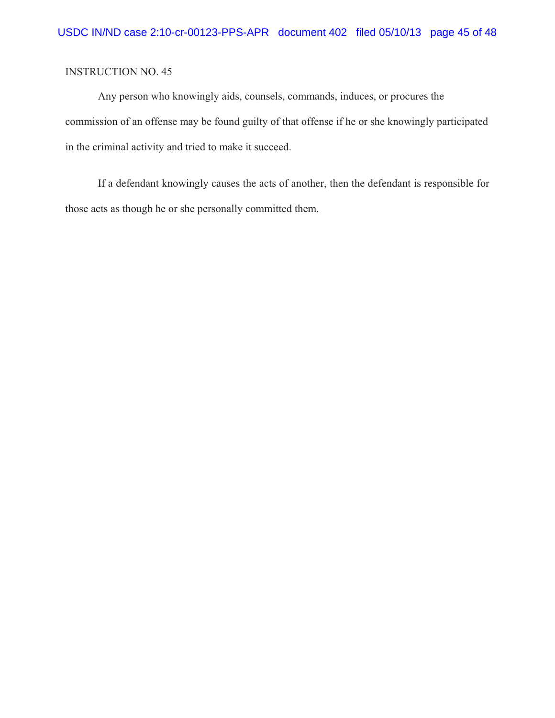Any person who knowingly aids, counsels, commands, induces, or procures the commission of an offense may be found guilty of that offense if he or she knowingly participated in the criminal activity and tried to make it succeed.

If a defendant knowingly causes the acts of another, then the defendant is responsible for those acts as though he or she personally committed them.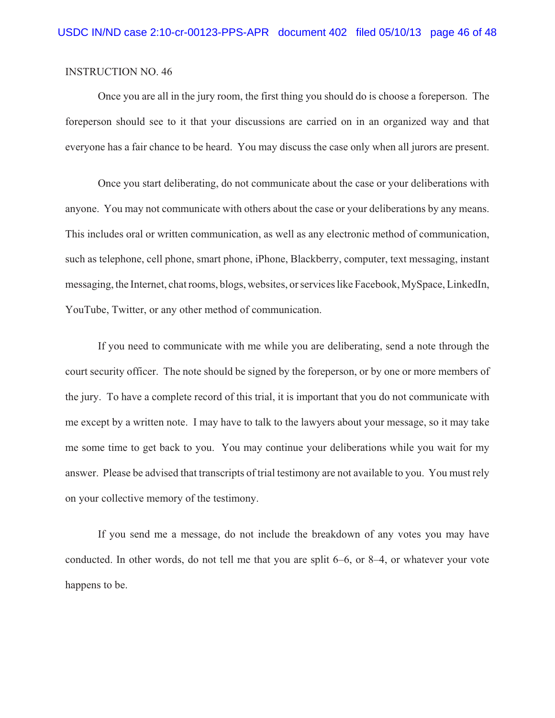Once you are all in the jury room, the first thing you should do is choose a foreperson. The foreperson should see to it that your discussions are carried on in an organized way and that everyone has a fair chance to be heard. You may discuss the case only when all jurors are present.

Once you start deliberating, do not communicate about the case or your deliberations with anyone. You may not communicate with others about the case or your deliberations by any means. This includes oral or written communication, as well as any electronic method of communication, such as telephone, cell phone, smart phone, iPhone, Blackberry, computer, text messaging, instant messaging, the Internet, chat rooms, blogs, websites, or services like Facebook, MySpace, LinkedIn, YouTube, Twitter, or any other method of communication.

If you need to communicate with me while you are deliberating, send a note through the court security officer. The note should be signed by the foreperson, or by one or more members of the jury. To have a complete record of this trial, it is important that you do not communicate with me except by a written note. I may have to talk to the lawyers about your message, so it may take me some time to get back to you. You may continue your deliberations while you wait for my answer. Please be advised that transcripts of trial testimony are not available to you. You must rely on your collective memory of the testimony.

If you send me a message, do not include the breakdown of any votes you may have conducted. In other words, do not tell me that you are split 6–6, or 8–4, or whatever your vote happens to be.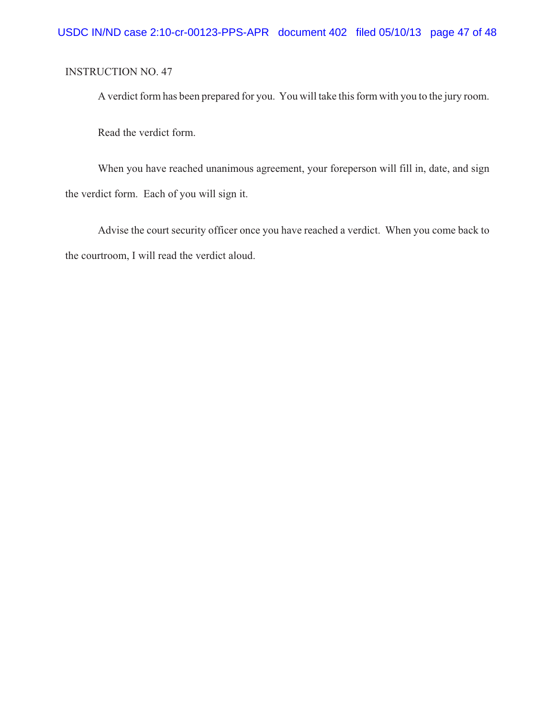A verdict form has been prepared for you. You will take this form with you to the jury room.

Read the verdict form.

When you have reached unanimous agreement, your foreperson will fill in, date, and sign the verdict form. Each of you will sign it.

Advise the court security officer once you have reached a verdict. When you come back to the courtroom, I will read the verdict aloud.